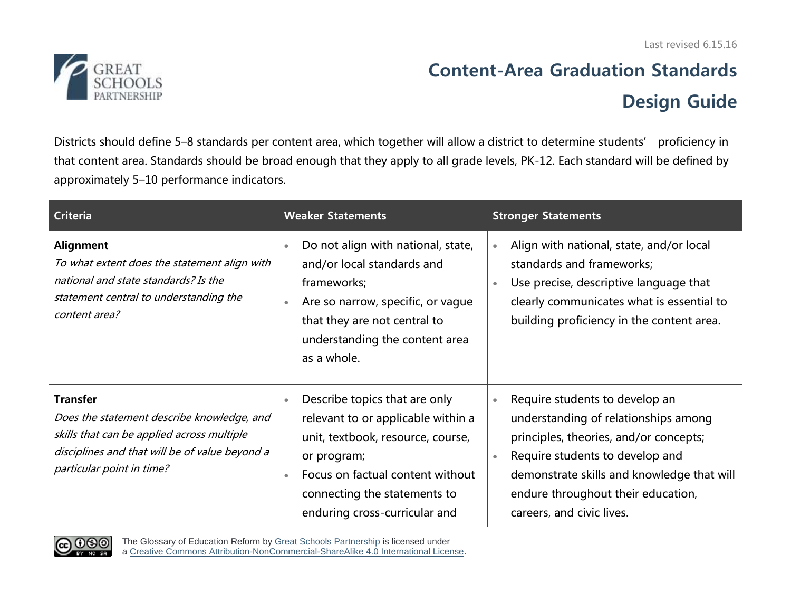Last revised 6.15.16



## **Content-Area Graduation Standards Design Guide**

Districts should define 5–8 standards per content area, which together will allow a district to determine students' proficiency in that content area. Standards should be broad enough that they apply to all grade levels, PK-12. Each standard will be defined by approximately 5–10 performance indicators.

| <b>Criteria</b>                                                                                                                                                                            | <b>Weaker Statements</b>                                                                                                                                                                                                                               | <b>Stronger Statements</b>                                                                                                                                                                                                                                                        |  |
|--------------------------------------------------------------------------------------------------------------------------------------------------------------------------------------------|--------------------------------------------------------------------------------------------------------------------------------------------------------------------------------------------------------------------------------------------------------|-----------------------------------------------------------------------------------------------------------------------------------------------------------------------------------------------------------------------------------------------------------------------------------|--|
| Alignment<br>To what extent does the statement align with<br>national and state standards? Is the<br>statement central to understanding the<br>content area?                               | Do not align with national, state,<br>$\bullet$<br>and/or local standards and<br>frameworks;<br>Are so narrow, specific, or vague<br>$\bullet$<br>that they are not central to<br>understanding the content area<br>as a whole.                        | Align with national, state, and/or local<br>$\bullet$<br>standards and frameworks;<br>Use precise, descriptive language that<br>clearly communicates what is essential to<br>building proficiency in the content area.                                                            |  |
| <b>Transfer</b><br>Does the statement describe knowledge, and<br>skills that can be applied across multiple<br>disciplines and that will be of value beyond a<br>particular point in time? | Describe topics that are only<br>$\bullet$<br>relevant to or applicable within a<br>unit, textbook, resource, course,<br>or program;<br>Focus on factual content without<br>$\bullet$<br>connecting the statements to<br>enduring cross-curricular and | Require students to develop an<br>$\bullet$<br>understanding of relationships among<br>principles, theories, and/or concepts;<br>Require students to develop and<br>demonstrate skills and knowledge that will<br>endure throughout their education,<br>careers, and civic lives. |  |



The Glossary of Education Reform by [Great Schools Partnership](http://www.greatschoolspartnership.org/) is licensed under a [Creative Commons Attribution-NonCommercial-ShareAlike 4.0 International License.](http://creativecommons.org/licenses/by-nc-sa/4.0/)